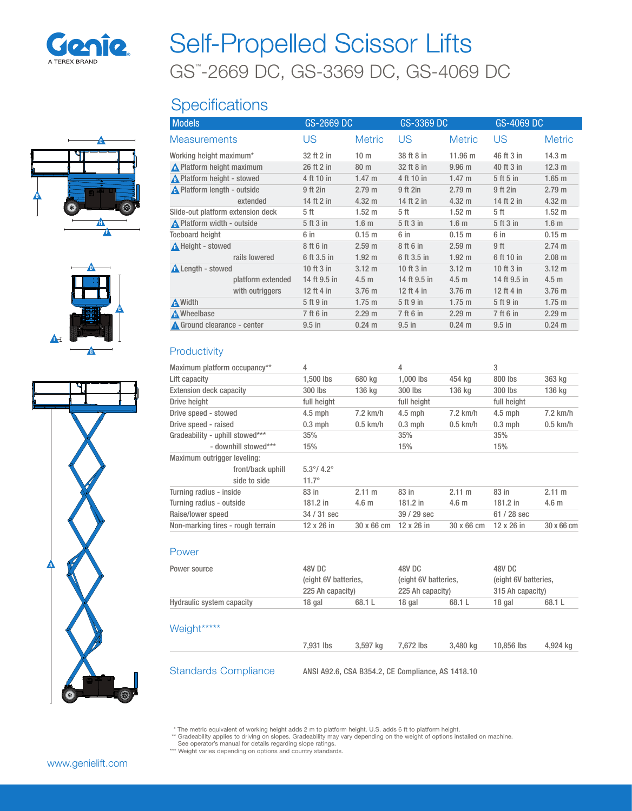

# GS™ -2669 DC, GS-3369 DC, GS-4069 DC Self-Propelled Scissor Lifts

## **Specifications**







| <b>Models</b>                     | GS-2669 DC   |                   | GS-3369 DC   |                   | GS-4069 DC   |                   |
|-----------------------------------|--------------|-------------------|--------------|-------------------|--------------|-------------------|
| <b>Measurements</b>               | US           | <b>Metric</b>     | US           | <b>Metric</b>     | US           | <b>Metric</b>     |
| Working height maximum*           | 32 ft 2 in   | 10 <sub>m</sub>   | 38 ft 8 in   | 11.96 m           | 46 ft 3 in   | 14.3 m            |
| No Platform height maximum        | 26 ft 2 in   | 80 m              | 32 ft 8 in   | 9.96 <sub>m</sub> | 40 ft 3 in   | 12.3 m            |
| <b>A</b> Platform height - stowed | 4 ft 10 in   | $1.47 \text{ m}$  | 4 ft 10 in   | $1.47 \text{ m}$  | 5 ft 5 in    | $1.65$ m          |
| A Platform length - outside       | 9 ft 2in     | 2.79 m            | 9 ft 2in     | 2.79 <sub>m</sub> | 9 ft 2in     | 2.79 <sub>m</sub> |
| extended                          | 14 ft 2 in   | $4.32 \text{ m}$  | 14 ft 2 in   | $4.32 \text{ m}$  | 14 ft 2 in   | $4.32 \text{ m}$  |
| Slide-out platform extension deck | 5 ft         | $1.52 \text{ m}$  | 5 ft         | $1.52 \text{ m}$  | 5 ft         | $1.52 \text{ m}$  |
| Platform width - outside          | 5 ft 3 in    | 1.6 <sub>m</sub>  | 5 ft 3 in    | 1.6 <sub>m</sub>  | 5 ft 3 in    | 1.6 <sub>m</sub>  |
| <b>Toeboard height</b>            | 6 in         | $0.15$ m          | 6 in         | 0.15 <sub>m</sub> | 6 in         | $0.15$ m          |
| A Height - stowed                 | 8 ft 6 in    | 2.59 <sub>m</sub> | 8 ft 6 in    | 2.59 <sub>m</sub> | 9 ft         | 2.74 m            |
| rails lowered                     | 6 ft 3.5 in  | $1.92 \text{ m}$  | 6 ft 3.5 in  | 1.92 <sub>m</sub> | 6 ft 10 in   | $2.08$ m          |
| <b>A</b> Length - stowed          | 10 ft 3 in   | $3.12 \text{ m}$  | 10 ft 3 in   | $3.12 \text{ m}$  | 10 ft 3 in   | $3.12 \text{ m}$  |
| platform extended                 | 14 ft 9.5 in | 4.5 <sub>m</sub>  | 14 ft 9.5 in | 4.5 <sub>m</sub>  | 14 ft 9.5 in | 4.5 <sub>m</sub>  |
| with outriggers                   | 12 ft 4 in   | 3.76 <sub>m</sub> | 12 ft 4 in   | 3.76 <sub>m</sub> | 12 ft 4 in   | 3.76 m            |
| A Width                           | 5 ft 9 in    | $1.75$ m          | 5 ft 9 in    | $1.75$ m          | 5 ft 9 in    | $1.75$ m          |
| A Wheelbase                       | 7 ft 6 in    | 2.29 m            | 7 ft 6 in    | 2.29 m            | 7 ft 6 in    | 2.29 m            |
| Ground clearance - center         | $9.5$ in     | $0.24 \text{ m}$  | $9.5$ in     | $0.24$ m          | $9.5$ in     | $0.24 \text{ m}$  |

#### **Productivity**

| Maximum platform occupancy**      | 4                          |                  | 4           |                  | 3                 |                  |
|-----------------------------------|----------------------------|------------------|-------------|------------------|-------------------|------------------|
| Lift capacity                     | $1.500$ lbs                | 680 kg           | $1.000$ lbs | 454 ka           | 800 lbs           | 363 kg           |
| <b>Extension deck capacity</b>    | 300 lbs                    | 136 kg           | 300 lbs     | 136 kg           | 300 lbs           | 136 kg           |
| Drive height                      | full height                |                  | full height |                  | full height       |                  |
| Drive speed - stowed              | $4.5$ mph                  | $7.2$ km/h       | $4.5$ mph   | $7.2$ km/h       | $4.5$ mph         | $7.2$ km/h       |
| Drive speed - raised              | $0.3$ mph                  | $0.5$ km/h       | $0.3$ mph   | $0.5$ km/h       | $0.3$ mph         | $0.5$ km/h       |
| Gradeability - uphill stowed***   | 35%                        |                  | 35%         |                  | 35%               |                  |
| - downhill stowed***              | 15%                        |                  | 15%         |                  | 15%               |                  |
| Maximum outrigger leveling:       |                            |                  |             |                  |                   |                  |
| front/back uphill                 | $5.3^{\circ}/ 4.2^{\circ}$ |                  |             |                  |                   |                  |
| side to side                      | $11.7^{\circ}$             |                  |             |                  |                   |                  |
| Turning radius - inside           | 83 in                      | $2.11 \text{ m}$ | 83 in       | $2.11 \text{ m}$ | 83 in             | $2.11 \text{ m}$ |
| Turning radius - outside          | $181.2$ in                 | 4.6 <sub>m</sub> | $181.2$ in  | 4.6 <sub>m</sub> | $181.2$ in        | 4.6 <sub>m</sub> |
| Raise/lower speed                 | 34 / 31 sec                |                  | 39 / 29 sec |                  | 61 / 28 sec       |                  |
| Non-marking tires - rough terrain | 12 x 26 in                 | 30 x 66 cm       | 12 x 26 in  | 30 x 66 cm       | $12 \times 26$ in | 30 x 66 cm       |
|                                   |                            |                  |             |                  |                   |                  |

#### Power

| Power source                | 48V DC<br>(eight 6V batteries,<br>225 Ah capacity) |          | 48V DC<br>(eight 6V batteries,<br>225 Ah capacity) |          | 48V DC<br>(eight 6V batteries,<br>315 Ah capacity) |          |
|-----------------------------|----------------------------------------------------|----------|----------------------------------------------------|----------|----------------------------------------------------|----------|
| Hydraulic system capacity   | 18 gal                                             | 68.1 L   | 18 gal                                             | 68.1 L   | 18 gal                                             | 68.1 L   |
| Weight*****                 |                                                    |          |                                                    |          |                                                    |          |
|                             | 7.931 lbs                                          | 3.597 kg | 7.672 lbs                                          | 3.480 kg | 10,856 lbs                                         | 4,924 kg |
| <b>Standards Compliance</b> | ANSI A92.6, CSA B354.2, CE Compliance, AS 1418.10  |          |                                                    |          |                                                    |          |

\* The metric equivalent of working height adds 2 m to platform height. U.S. adds 6 ft to platform height.<br>\*\* Gradeability applies to driving on slopes. Gradeability may vary depending on the weight of options installed on

\*\*\* Weight varies depending on options and country standards.